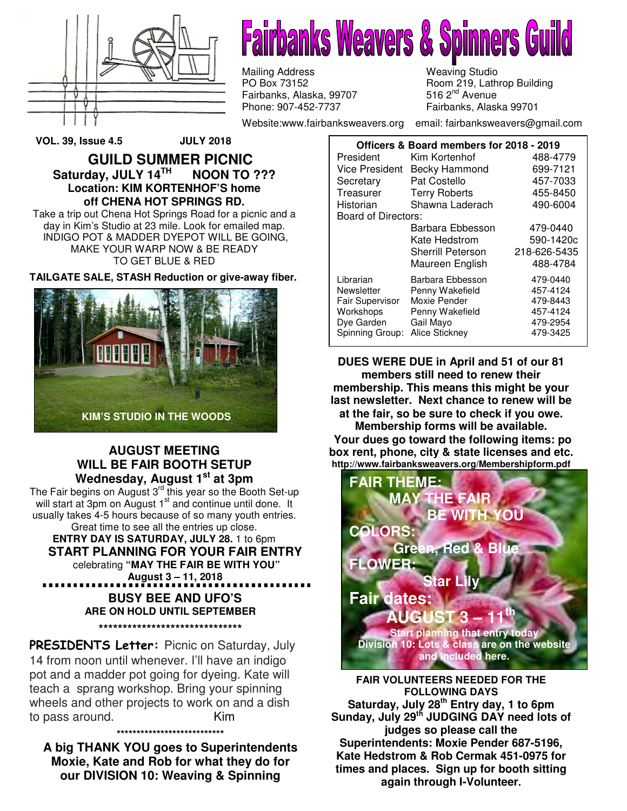

**Fairbanks Weavers & Spinners** 

Mailing Address Meaving Studio<br>
PO Box 73152 Meaving Studio Room 219, Lath Fairbanks, Alaska, 99707<br>Phone: 907-452-7737

Room 219, Lathrop Building<br>516 2<sup>nd</sup> Avenue Fairbanks, Alaska 99701

Website:www.fairbanksweavers.org email: fairbanksweavers@gmail.com

**VOL. 39, Issue 4.5 JULY 2018** 

**GUILD SUMMER PICNIC Saturday, JULY 14TH NOON TO ??? Location: KIM KORTENHOF'S home off CHENA HOT SPRINGS RD.** 

Take a trip out Chena Hot Springs Road for a picnic and a day in Kim's Studio at 23 mile. Look for emailed map. INDIGO POT & MADDER DYEPOT WILL BE GOING, MAKE YOUR WARP NOW & BE READY TO GET BLUE & RED

**TAILGATE SALE, STASH Reduction or give-away fiber.** 



#### **AUGUST MEETING WILL BE FAIR BOOTH SETUP Wednesday, August 1st at 3pm**

The Fair begins on August 3<sup>rd</sup> this year so the Booth Set-up will start at 3pm on August  $1<sup>st</sup>$  and continue until done. It usually takes 4-5 hours because of so many youth entries. Great time to see all the entries up close. **ENTRY DAY IS SATURDAY, JULY 28.** 1 to 6pm **START PLANNING FOR YOUR FAIR ENTRY** celebrating **"MAY THE FAIR BE WITH YOU" August 3 – 11, 2018 BUSY BEE AND UFO'S ARE ON HOLD UNTIL SEPTEMBER \*\*\*\*\*\*\*\*\*\*\*\*\*\*\*\*\*\*\*\*\*\*\*\*\*\*\*\*\*\***

PRESIDENTS Letter: Picnic on Saturday, July 14 from noon until whenever. I'll have an indigo pot and a madder pot going for dyeing. Kate will teach a sprang workshop. Bring your spinning wheels and other projects to work on and a dish to pass around. Kim

**A big THANK YOU goes to Superintendents Moxie, Kate and Rob for what they do for our DIVISION 10: Weaving & Spinning** 

**\*\*\*\*\*\*\*\*\*\*\*\*\*\*\*\*\*\*\*\*\*\*\*\*\*\*\*** 

| Officers & Board members for 2018 - 2019 |                          |              |
|------------------------------------------|--------------------------|--------------|
| President                                | Kim Kortenhof            | 488-4779     |
| Vice President                           | Becky Hammond            | 699-7121     |
| Secretary                                | Pat Costello             | 457-7033     |
| Treasurer                                | <b>Terry Roberts</b>     | 455-8450     |
| Historian                                | Shawna Laderach          | 490-6004     |
| Board of Directors:                      |                          |              |
|                                          | Barbara Ebbesson         | 479-0440     |
|                                          | Kate Hedstrom            | 590-1420c    |
|                                          | <b>Sherrill Peterson</b> | 218-626-5435 |
|                                          | Maureen English          | 488-4784     |
| Librarian                                | Barbara Ebbesson         | 479-0440     |
| Newsletter                               | Penny Wakefield          | 457-4124     |
| <b>Fair Supervisor</b>                   | Moxie Pender             | 479-8443     |
| Workshops                                | Penny Wakefield          | 457-4124     |
| Dye Garden                               | Gail Mayo                | 479-2954     |
| Spinning Group:                          | Alice Stickney           | 479-3425     |

**DUES WERE DUE in April and 51 of our 81 members still need to renew their membership. This means this might be your last newsletter. Next chance to renew will be at the fair, so be sure to check if you owe. Membership forms will be available.** 

 **Your dues go toward the following items: po box rent, phone, city & state licenses and etc. http://www.fairbanksweavers.org/Membershipform.pdf** 



**FAIR VOLUNTEERS NEEDED FOR THE FOLLOWING DAYS Saturday, July 28th Entry day, 1 to 6pm Sunday, July 29th JUDGING DAY need lots of judges so please call the Superintendents: Moxie Pender 687-5196, Kate Hedstrom & Rob Cermak 451-0975 for times and places. Sign up for booth sitting again through I-Volunteer.**